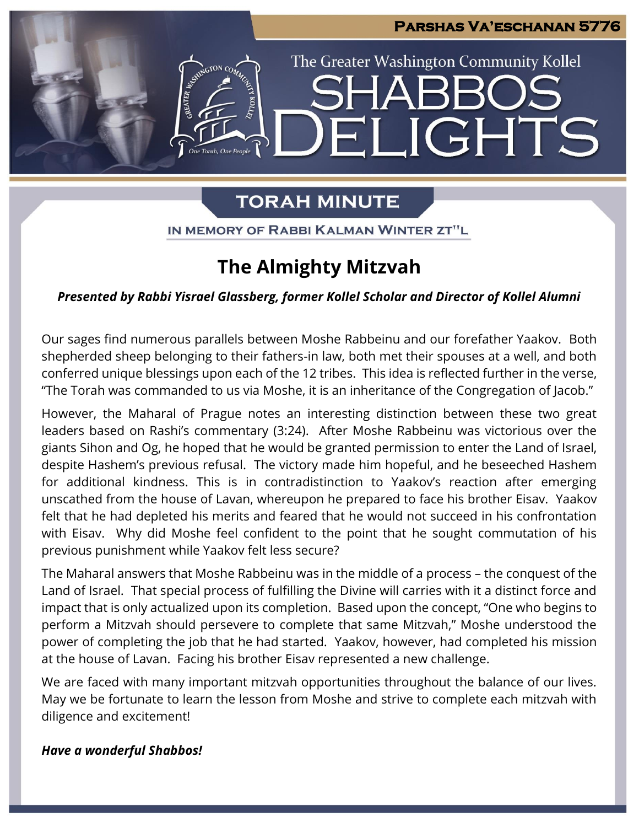**JGHTS** 

The Greater Washington Community Kollel

# **TORAH MINUTE**

IN MEMORY OF RABBI KALMAN WINTER ZT"L

## **The Almighty Mitzvah**

### *Presented by Rabbi Yisrael Glassberg, former Kollel Scholar and Director of Kollel Alumni*

Our sages find numerous parallels between Moshe Rabbeinu and our forefather Yaakov. Both shepherded sheep belonging to their fathers-in law, both met their spouses at a well, and both conferred unique blessings upon each of the 12 tribes. This idea is reflected further in the verse, "The Torah was commanded to us via Moshe, it is an inheritance of the Congregation of Jacob."

However, the Maharal of Prague notes an interesting distinction between these two great leaders based on Rashi's commentary (3:24). After Moshe Rabbeinu was victorious over the giants Sihon and Og, he hoped that he would be granted permission to enter the Land of Israel, despite Hashem's previous refusal. The victory made him hopeful, and he beseeched Hashem for additional kindness. This is in contradistinction to Yaakov's reaction after emerging unscathed from the house of Lavan, whereupon he prepared to face his brother Eisav. Yaakov felt that he had depleted his merits and feared that he would not succeed in his confrontation with Eisav. Why did Moshe feel confident to the point that he sought commutation of his previous punishment while Yaakov felt less secure?

The Maharal answers that Moshe Rabbeinu was in the middle of a process – the conquest of the Land of Israel. That special process of fulfilling the Divine will carries with it a distinct force and impact that is only actualized upon its completion. Based upon the concept, "One who begins to perform a Mitzvah should persevere to complete that same Mitzvah," Moshe understood the power of completing the job that he had started. Yaakov, however, had completed his mission at the house of Lavan. Facing his brother Eisav represented a new challenge.

We are faced with many important mitzvah opportunities throughout the balance of our lives. May we be fortunate to learn the lesson from Moshe and strive to complete each mitzvah with diligence and excitement!

### *Have a wonderful Shabbos!*